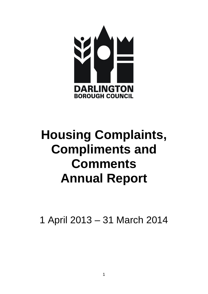

# **Housing Complaints, Compliments and Comments Annual Report**

1 April 2013 – 31 March 2014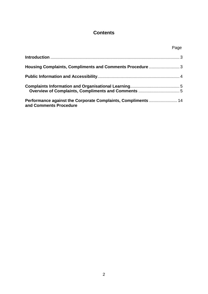## **Contents**

|                                                                                         | Page |
|-----------------------------------------------------------------------------------------|------|
|                                                                                         |      |
| Housing Complaints, Compliments and Comments Procedure  3                               |      |
|                                                                                         |      |
|                                                                                         |      |
| Performance against the Corporate Complaints, Compliments  14<br>and Comments Procedure |      |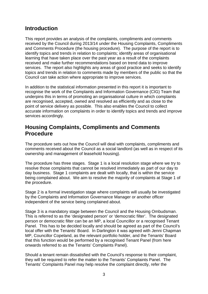## <span id="page-2-0"></span>**Introduction**

This report provides an analysis of the complaints, compliments and comments received by the Council during 2013/14 under the Housing Complaints, Compliments and Comments Procedure (the housing procedure). The purpose of the report is to identify topics and trends in relation to complaints; identify areas of organisational learning that have taken place over the past year as a result of the complaints received and make further recommendations based on trend data to improve services. The report also highlights any areas of good practice and seeks to identify topics and trends in relation to comments made by members of the public so that the Council can take action where appropriate to improve services.

In addition to the statistical information presented in this report it is important to recognise the work of the Complaints and Information Governance (CIG) Team that underpins this in terms of promoting an organisational culture in which complaints are recognised, accepted, owned and resolved as efficiently and as close to the point of service delivery as possible. This also enables the Council to collect accurate information on complaints in order to identify topics and trends and improve services accordingly.

# <span id="page-2-1"></span>**Housing Complaints, Compliments and Comments Procedure**

The procedure sets out how the Council will deal with complaints, compliments and comments received about the Council as a social landlord (as well as in respect of its ownership and management of leasehold housing).

The procedure has three stages. Stage 1 is a local resolution stage where we try to resolve those complaints that cannot be resolved immediately as part of our day to day business. Stage 1 complaints are dealt with locally, that is within the service being complained about. We aim to resolve the majority of complaints at Stage 1 of the procedure.

Stage 2 is a formal investigation stage where complaints will usually be investigated by the Complaints and Information Governance Manager or another officer independent of the service being complained about.

Stage 3 is a mandatory stage between the Council and the Housing Ombudsman. This is referred to as the 'designated person' or 'democratic filter'. The designated person or democratic filter can be an MP, a local Councillor or a recognised Tenant Panel. This has to be decided locally and should be agreed as part of the Council's local offer with the Tenants' Board. In Darlington it was agreed with Jenni Chapman MP, Councillor Copeland, as the relevant portfolio holder, and the Tenants' Board that this function would be performed by a recognised Tenant Panel (from here onwards referred to as the Tenants' Complaints Panel).

Should a tenant remain dissatisfied with the Council's response to their complaint, they will be required to refer the matter to the Tenants' Complaints Panel. The Tenants' Complaints Panel may help resolve the complaint directly, refer the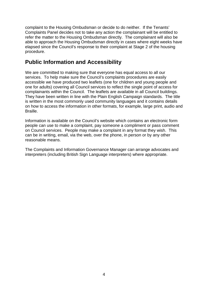complaint to the Housing Ombudsman or decide to do neither. If the Tenants' Complaints Panel decides not to take any action the complainant will be entitled to refer the matter to the Housing Ombudsman directly. The complainant will also be able to approach the Housing Ombudsman directly in cases where eight weeks have elapsed since the Council's response to their complaint at Stage 2 of the housing procedure.

# <span id="page-3-0"></span>**Public Information and Accessibility**

We are committed to making sure that everyone has equal access to all our services. To help make sure the Council's complaints procedures are easily accessible we have produced two leaflets (one for children and young people and one for adults) covering all Council services to reflect the single point of access for complainants within the Council. The leaflets are available in all Council buildings. They have been written in line with the Plain English Campaign standards. The title is written in the most commonly used community languages and it contains details on how to access the information in other formats, for example, large print, audio and Braille.

Information is available on the Council's website which contains an electronic form people can use to make a complaint, pay someone a compliment or pass comment on Council services. People may make a complaint in any format they wish. This can be in writing, email, via the web, over the phone, in person or by any other reasonable means.

The Complaints and Information Governance Manager can arrange advocates and interpreters (including British Sign Language interpreters) where appropriate.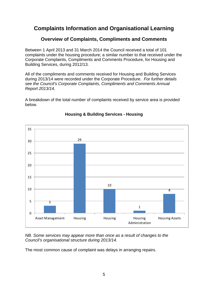# <span id="page-4-0"></span>**Complaints Information and Organisational Learning**

## **Overview of Complaints, Compliments and Comments**

<span id="page-4-1"></span>Between 1 April 2013 and 31 March 2014 the Council received a total of 101 complaints under the housing procedure; a similar number to that received under the Corporate Complaints, Compliments and Comments Procedure, for Housing and Building Services, during 2012/13.

All of the compliments and comments received for Housing and Building Services during 2013/14 were recorded under the Corporate Procedure. *For further details see the Council's Corporate Complaints, Compliments and Comments Annual Report 2013/14.*

A breakdown of the total number of complaints received by service area is provided below.



### **Housing & Building Services - Housing**

*NB. Some services may appear more than once as a result of changes to the Council's organisational structure during 2013/14.*

The most common cause of complaint was delays in arranging repairs.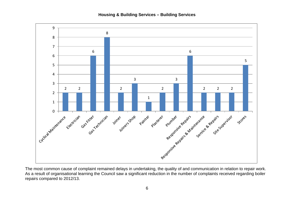

The most common cause of complaint remained delays in undertaking, the quality of and communication in relation to repair work. As a result of organisational learning the Council saw a significant reduction in the number of complaints received regarding boiler repairs compared to 2012/13.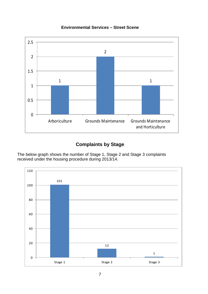#### **Environmental Services – Street Scene**



## **Complaints by Stage**

The below graph shows the number of Stage 1, Stage 2 and Stage 3 complaints received under the housing procedure during 2013/14.

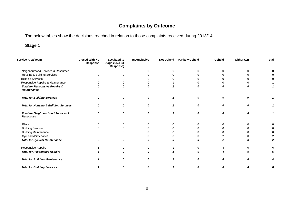# **Complaints by Outcome**

The below tables show the decisions reached in relation to those complaints received during 2013/14.

## **Stage 1**

| Service Area/Team                                                 | <b>Closed With No</b><br>Response | <b>Escalated to</b><br>Stage 2 (No S1<br>Response) | Inconclusive | <b>Not Upheld</b> | <b>Partially Upheld</b> | <b>Upheld</b> | Withdrawn | <b>Total</b> |
|-------------------------------------------------------------------|-----------------------------------|----------------------------------------------------|--------------|-------------------|-------------------------|---------------|-----------|--------------|
| Neighbourhood Services & Resources                                | U                                 | $\Omega$                                           | $\Omega$     | $\Omega$          | $\Omega$                | $\Omega$      | $\Omega$  |              |
| Housing & Building Services                                       |                                   |                                                    |              |                   |                         |               |           |              |
| <b>Building Services</b>                                          |                                   |                                                    |              |                   |                         |               |           |              |
| Responsive Repairs & Maintenance                                  |                                   |                                                    |              |                   |                         |               |           |              |
| <b>Total for Responsive Repairs &amp;</b><br><b>Maintenance</b>   |                                   | Ω                                                  |              |                   | O                       |               |           |              |
| <b>Total for Building Services</b>                                | $\Omega$                          | 0                                                  | $\Omega$     |                   | 0                       | 0             | 0         |              |
| <b>Total for Housing &amp; Building Services</b>                  | O                                 | 0                                                  |              |                   | 0                       | <sub>0</sub>  | 0         |              |
| <b>Total for Neighbourhood Services &amp;</b><br><b>Resources</b> | 0                                 | 0                                                  | n            |                   | $\boldsymbol{0}$        | 0             | Ω         |              |
| Place                                                             |                                   |                                                    | ŋ            | ∩                 |                         |               |           |              |
| <b>Building Services</b>                                          |                                   |                                                    |              |                   |                         |               |           |              |
| <b>Building Maintenance</b>                                       |                                   |                                                    |              |                   |                         |               |           |              |
| <b>Cyclical Maintenance</b>                                       |                                   |                                                    |              |                   |                         |               |           |              |
| <b>Total for Cyclical Maintenance</b>                             |                                   | Ω                                                  |              |                   | Ω                       |               |           |              |
| Responsive Repairs                                                |                                   | O                                                  | O            |                   |                         |               |           |              |
| <b>Total for Responsive Repairs</b>                               |                                   | O                                                  |              |                   |                         |               |           |              |
| <b>Total for Building Maintenance</b>                             |                                   | $\boldsymbol{0}$                                   |              |                   | 0                       |               | n         | 8            |
| <b>Total for Building Services</b>                                |                                   | 0                                                  |              |                   | 0                       |               | Ο         | 8            |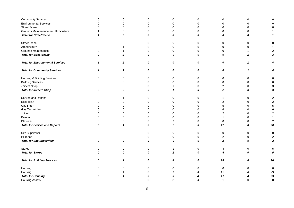| <b>Community Services</b>               | 0           | $\mathbf 0$      | 0           | 0              | 0                | $\pmb{0}$      | 0                |                         |
|-----------------------------------------|-------------|------------------|-------------|----------------|------------------|----------------|------------------|-------------------------|
| <b>Environmental Services</b>           | $\mathbf 0$ | $\Omega$         | $\Omega$    | $\mathbf 0$    | $\Omega$         | $\mathbf 0$    | $\Omega$         |                         |
| <b>Street Scene</b>                     | 0           | $\Omega$         | $\mathbf 0$ | $\mathbf 0$    | $\Omega$         | $\mathbf 0$    | $\Omega$         | $\Omega$                |
| Grounds Maintenance and Horticulture    |             | $\Omega$         | $\mathbf 0$ | $\mathbf 0$    | $\Omega$         | $\Omega$       | $\Omega$         |                         |
| <b>Total for StreetScene</b>            | 1           | 0                | 0           | 0              | 0                | 0              | 0                | 1                       |
| StreetScene                             | 0           | $\Omega$         | 0           | 0              | 0                | 0              | $\Omega$         | 0                       |
| Arboriculture                           | $\Omega$    |                  | $\mathbf 0$ | $\mathbf 0$    | $\mathbf 0$      | $\mathbf 0$    | $\Omega$         |                         |
| Grounds Maintenance                     | $\Omega$    |                  | $\mathbf 0$ | 0              | 0                | 0              |                  | 2                       |
| <b>Total for StreetScene</b>            | 0           | $\overline{2}$   | 0           | 0              | 0                | 0              | 1                | 3                       |
| <b>Total for Environmental Services</b> | 1           | $\boldsymbol{2}$ | 0           | 0              | 0                | 0              | $\mathbf{1}$     |                         |
| <b>Total for Community Services</b>     | 1           | $\boldsymbol{2}$ | 0           | 0              | 0                | 0              | $\mathbf{1}$     |                         |
| Housing & Building Services             | 0           | $\Omega$         | 0           | 0              | 0                | 0              | $\Omega$         | 0                       |
| <b>Building Services</b>                | 0           | $\Omega$         | $\mathbf 0$ | $\Omega$       | $\Omega$         | $\mathbf 0$    | $\Omega$         | $\Omega$                |
| Joiners Shop                            | 0           | $\Omega$         | 0           |                | 0                | 2              | 0                | 3                       |
| <b>Total for Joiners Shop</b>           | 0           | 0                | 0           | $\mathbf{1}$   | 0                | $\overline{2}$ | 0                | 3                       |
| Service and Repairs                     | $\mathbf 0$ |                  | $\mathbf 0$ | $\mathbf 0$    | $\Omega$         | $\mathbf{1}$   | $\Omega$         | 2                       |
| Electrician                             | $\Omega$    |                  | $\Omega$    | $\Omega$       |                  | $\overline{2}$ | $\Omega$         |                         |
| <b>Gas Fitter</b>                       | 0           | ∩                | $\mathbf 0$ | 0              |                  | $\mathbf 5$    | $\Omega$         | 5                       |
| Gas Technician                          | 0           | $\Omega$         | $\mathbf 0$ | $\Omega$       |                  | 6              | $\Omega$         | 6                       |
| Joiner                                  | 0           | $\Omega$         | $\mathbf 0$ | $\Omega$       | U                | $\overline{2}$ | $\Omega$         | $\overline{\mathbf{c}}$ |
| Painter                                 | 0           | $\Omega$         | $\mathbf 0$ | $\mathbf 0$    | $\Omega$         | 1              | $\Omega$         |                         |
| Plasterer                               | 0           | $\Omega$         | $\mathbf 0$ | $\overline{2}$ | 0                | $\mathbf 0$    | $\Omega$         | 2                       |
| <b>Total for Service and Repairs</b>    | 0           | $\mathbf 1$      | 0           | $\overline{2}$ | 0                | 17             | 0                | 20                      |
| Site Supervisor                         | 0           | $\mathbf 0$      | $\mathbf 0$ | $\mathbf 0$    | $\mathbf 0$      | $\pmb{0}$      | $\mathbf 0$      | 0                       |
| Plumber                                 | $\Omega$    | $\Omega$         | $\mathbf 0$ | $\mathbf 0$    | 0                | $\overline{2}$ | $\Omega$         | 2                       |
| <b>Total for Site Supervisor</b>        | 0           | 0                | 0           | 0              | 0                | $\mathbf{2}$   | 0                | $\mathbf{z}$            |
| Stores                                  | 0           | 0                | 0           | 1              | 0                | 4              | 0                | 5                       |
| <b>Total for Stores</b>                 | 0           | $\boldsymbol{0}$ | 0           | $\mathbf{1}$   | $\boldsymbol{0}$ | 4              | $\boldsymbol{0}$ | 5                       |
| <b>Total for Building Services</b>      | 0           | 1                | 0           | 4              | 0                | 25             | 0                | 30                      |
| Housing                                 | 0           | ∩                | 0           | 0              | ∩                | $\mathbf 0$    | $\Omega$         | 0                       |
| Housing                                 | 0           |                  | $\Omega$    | 9              |                  | 11             |                  | 29                      |
| <b>Total for Housing</b>                | Ω           |                  | 0           | 9              |                  | 11             |                  | 29                      |
| <b>Housing Assets</b>                   | $\Omega$    | $\Omega$         | $\Omega$    | 3              |                  | $\overline{1}$ | $\Omega$         | 8                       |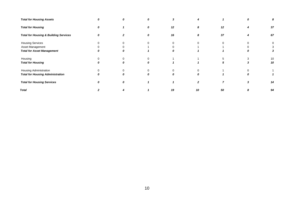| <b>Total for Housing Assets</b>                  | 0 | 0        | Ω | 3                |          |          |   | 8  |
|--------------------------------------------------|---|----------|---|------------------|----------|----------|---|----|
| <b>Total for Housing</b>                         | 0 |          | 0 | 12               | 8        | 12       |   | 37 |
| <b>Total for Housing &amp; Building Services</b> | Λ |          | 0 | 16               | 8        | 37       |   | 67 |
| <b>Housing Services</b>                          |   | $\Omega$ |   |                  |          | $\Omega$ |   | 0  |
| Asset Management                                 |   |          |   |                  |          |          |   | 3  |
| <b>Total for Asset Management</b>                |   | 0        |   | 0                |          |          | 0 | 3  |
| Housing                                          |   |          |   |                  |          |          |   | 10 |
| <b>Total for Housing</b>                         |   | 0        | Λ |                  |          | 5        |   | 10 |
| Housing Administration                           |   | 0        |   |                  |          |          |   |    |
| <b>Total for Housing Administration</b>          |   | 0        | n | $\boldsymbol{0}$ | $\Omega$ |          | 0 |    |
| <b>Total for Housing Services</b>                |   | 0        |   |                  |          |          |   | 14 |
| <b>Total</b>                                     |   |          |   | 19               | 10       | 50       |   | 94 |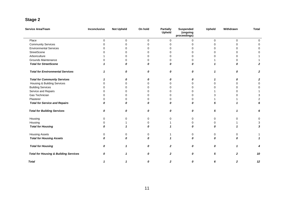# **Stage 2**

| Service Area/Team                                | Inconclusive | <b>Not Upheld</b> | On hold      | <b>Partially</b><br>Upheld | <b>Suspended</b><br>(ongoing<br>proceedings) | <b>Upheld</b> | Withdrawn    | <b>Total</b>     |
|--------------------------------------------------|--------------|-------------------|--------------|----------------------------|----------------------------------------------|---------------|--------------|------------------|
| Place                                            | $\mathbf 0$  | $\pmb{0}$         | $\mathbf 0$  | $\mathbf 0$                | 0                                            | 0             | 0            | 0                |
| <b>Community Services</b>                        | $\Omega$     | $\Omega$          | $\Omega$     | $\Omega$                   | 0                                            | $\Omega$      | 0            | 0                |
| <b>Environmental Services</b>                    | U            | 0                 | ∩            | $\Omega$                   | O                                            | ∩             | U            | 0                |
| StreetScene                                      |              | 0                 | 0            | $\Omega$                   |                                              | 0             | O            | 0                |
| Arboriculture                                    |              | U                 | $\Omega$     | $\Omega$                   | O                                            | $\Omega$      |              |                  |
| Grounds Maintenance                              | O            | 0                 | 0            | $\Omega$                   | 0                                            |               | O            |                  |
| <b>Total for StreetScene</b>                     |              | 0                 | 0            | 0                          | O                                            |               | 0            | $\mathbf{z}$     |
| <b>Total for Environmental Services</b>          |              | 0                 | 0            | 0                          | 0                                            | 1             | 0            | $\boldsymbol{2}$ |
| <b>Total for Community Services</b>              |              | 0                 | 0            | 0                          | 0                                            | 1             | 0            | 2                |
| Housing & Building Services                      |              | 0                 | 0            | 0                          | U                                            | $\Omega$      | ŋ            | 0                |
| <b>Building Services</b>                         |              | 0                 | ∩            | 0                          | 0                                            | 0             | O            | 0                |
| Service and Repairs                              | n            | 0                 | <sup>0</sup> | 0                          | O                                            |               | n            |                  |
| Gas Technician                                   | O            | 0                 | $\Omega$     | $\Omega$                   | <sup>0</sup>                                 | 3             | O            | 3                |
| Plasterer                                        | O            | $\Omega$          | 0            | 0                          | 0                                            |               |              | 2                |
| <b>Total for Service and Repairs</b>             | Ω            | 0                 | 0            | 0                          | 0                                            | 5             |              | 6                |
| <b>Total for Building Services</b>               | 0            | 0                 | 0            | 0                          | 0                                            | 5             | $\mathbf{1}$ | 6                |
| Housing                                          | 0            | $\Omega$          | $\Omega$     | 0                          | 0                                            | $\Omega$      | 0            | 0                |
| Housing                                          |              |                   | ∩            |                            | O                                            | 0             |              | 3                |
| <b>Total for Housing</b>                         | n            | 1                 | 0            | $\mathbf 1$                | 0                                            | 0             |              | 3                |
| <b>Housing Assets</b>                            | 0            | 0                 | 0            | 1                          | 0                                            | 0             | 0            |                  |
| <b>Total for Housing Assets</b>                  | 0            | 0                 | 0            | $\overline{\mathbf{1}}$    | 0                                            | 0             | 0            | 1                |
| <b>Total for Housing</b>                         | 0            | 1                 | 0            | $\overline{2}$             | $\boldsymbol{0}$                             | 0             | 1            | 4                |
| <b>Total for Housing &amp; Building Services</b> | 0            | 1                 | 0            | $\mathbf{2}$               | 0                                            | 5             | 2            | 10               |
| <b>Total</b>                                     |              | 1                 | 0            | $\mathbf{2}$               | 0                                            | 6             | $\mathbf{z}$ | 12               |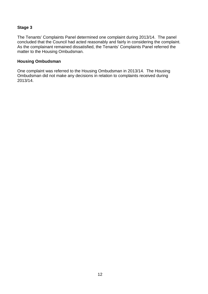#### **Stage 3**

The Tenants' Complaints Panel determined one complaint during 2013/14. The panel concluded that the Council had acted reasonably and fairly in considering the complaint. As the complainant remained dissatisfied, the Tenants' Complaints Panel referred the matter to the Housing Ombudsman.

#### **Housing Ombudsman**

One complaint was referred to the Housing Ombudsman in 2013/14. The Housing Ombudsman did not make any decisions in relation to complaints received during 2013/14.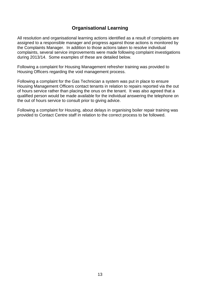## **Organisational Learning**

All resolution and organisational learning actions identified as a result of complaints are assigned to a responsible manager and progress against those actions is monitored by the Complaints Manager. In addition to those actions taken to resolve individual complaints, several service improvements were made following complaint investigations during 2013/14. Some examples of these are detailed below.

Following a complaint for Housing Management refresher training was provided to Housing Officers regarding the void management process.

Following a complaint for the Gas Technician a system was put in place to ensure Housing Management Officers contact tenants in relation to repairs reported via the out of hours service rather than placing the onus on the tenant. It was also agreed that a qualified person would be made available for the individual answering the telephone on the out of hours service to consult prior to giving advice.

Following a complaint for Housing, about delays in organising boiler repair training was provided to Contact Centre staff in relation to the correct process to be followed.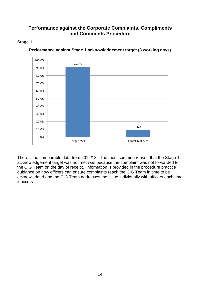## <span id="page-13-0"></span>**Performance against the Corporate Complaints, Compliments and Comments Procedure**

#### <span id="page-13-1"></span>**Stage 1**



**Performance against Stage 1 acknowledgement target (3 working days)**

There is no comparable data from 2012/13. The most common reason that the Stage 1 acknowledgement target was not met was because the complaint was not forwarded to the CIG Team on the day of receipt. Information is provided in the procedure practice guidance on how officers can ensure complaints reach the CIG Team in time to be acknowledged and the CIG Team addresses the issue individually with officers each time it occurs.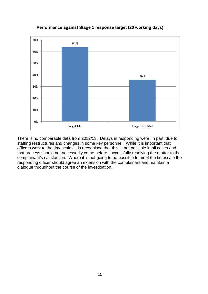

#### **Performance against Stage 1 response target (20 working days)**

There is no comparable data from 2012/13. Delays in responding were, in part, due to staffing restructures and changes in some key personnel. While it is important that officers work to the timescales it is recognised that this is not possible in all cases and that process should not necessarily come before successfully resolving the matter to the complainant's satisfaction. Where it is not going to be possible to meet the timescale the responding officer should agree an extension with the complainant and maintain a dialogue throughout the course of the investigation.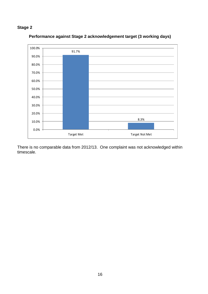## **Stage 2**



#### **Performance against Stage 2 acknowledgement target (3 working days)**

There is no comparable data from 2012/13. One complaint was not acknowledged within timescale.